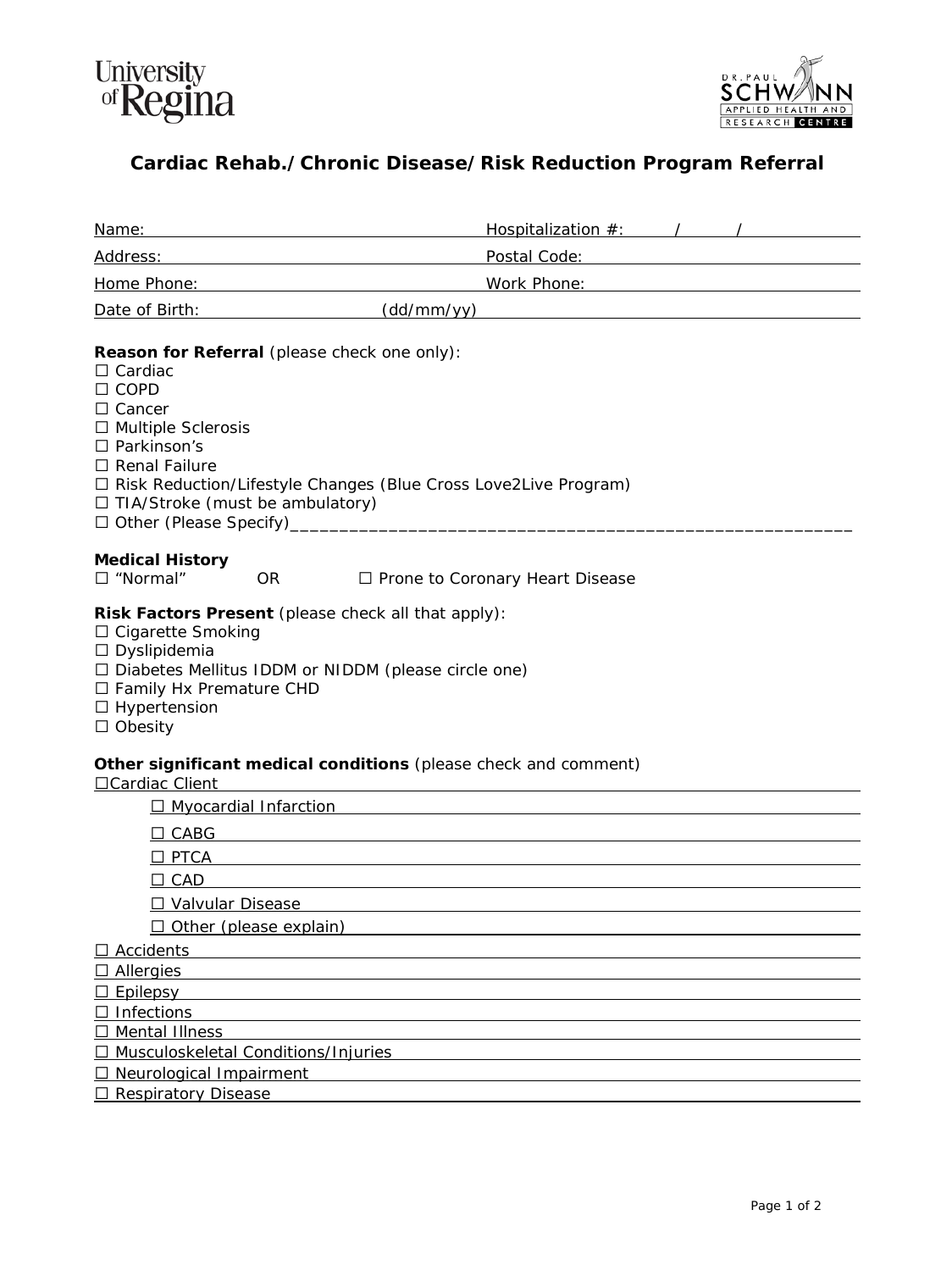



## **Cardiac Rehab./Chronic Disease/Risk Reduction Program Referral**

| Name:                                                                                                                                                                                                                                                                               |                                                                 |
|-------------------------------------------------------------------------------------------------------------------------------------------------------------------------------------------------------------------------------------------------------------------------------------|-----------------------------------------------------------------|
| Address: Andreas Address: Address: Address: Address: Address: Address: Address: Address: Address: Address: Address: Address: Address: Address: Address: Address: Address: Address: Address: Address: Address: Address: Address                                                      | Postal Code: National According Postal Code:                    |
| Home Phone: Note and the state of the state of the state of the state of the state of the state of the state of the state of the state of the state of the state of the state of the state of the state of the state of the st                                                      |                                                                 |
| Date of Birth: Note of Birth:                                                                                                                                                                                                                                                       | (dd/mm/yy)                                                      |
| Reason for Referral (please check one only):<br>$\Box$ Cardiac<br>$\Box$ COPD<br>$\Box$ Cancer<br>$\Box$ Multiple Sclerosis<br>□ Parkinson's<br>$\Box$ Renal Failure<br>□ Risk Reduction/Lifestyle Changes (Blue Cross Love2Live Program)<br>$\Box$ TIA/Stroke (must be ambulatory) |                                                                 |
| <b>Medical History</b><br>$\square$ "Normal"<br><b>OR</b>                                                                                                                                                                                                                           | □ Prone to Coronary Heart Disease                               |
| Risk Factors Present (please check all that apply):<br>$\Box$ Cigarette Smoking<br>$\Box$ Dyslipidemia<br>$\Box$ Diabetes Mellitus IDDM or NIDDM (please circle one)<br>$\Box$ Family Hx Premature CHD<br>$\Box$ Hypertension<br>$\Box$ Obesity                                     |                                                                 |
| □ Cardiac Client                                                                                                                                                                                                                                                                    | Other significant medical conditions (please check and comment) |
| □ Myocardial Infarction                                                                                                                                                                                                                                                             |                                                                 |
| $\Box$ CABG                                                                                                                                                                                                                                                                         |                                                                 |
| $\Box$ PTCA                                                                                                                                                                                                                                                                         |                                                                 |
| $\Box$ CAD                                                                                                                                                                                                                                                                          |                                                                 |
| □ Valvular Disease                                                                                                                                                                                                                                                                  |                                                                 |
| $\Box$ Other (please explain)                                                                                                                                                                                                                                                       |                                                                 |
| Accidents                                                                                                                                                                                                                                                                           |                                                                 |
| <b>Allergies</b><br>$\Box$                                                                                                                                                                                                                                                          |                                                                 |
| Epilepsy<br>Infections                                                                                                                                                                                                                                                              |                                                                 |
| <b>Mental Illness</b>                                                                                                                                                                                                                                                               |                                                                 |
| Musculoskeletal Conditions/Injuries                                                                                                                                                                                                                                                 |                                                                 |
| Neurological Impairment                                                                                                                                                                                                                                                             |                                                                 |
| <b>Respiratory Disease</b><br>⊔                                                                                                                                                                                                                                                     |                                                                 |